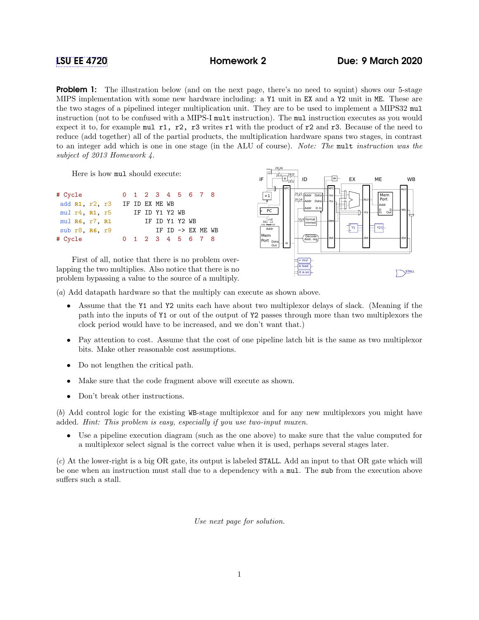## [LSU EE 4720](https://www.ece.lsu.edu/ee4720/) Homework 2 Due: 9 March 2020

**Problem 1:** The illustration below (and on the next page, there's no need to squint) shows our 5-stage MIPS implementation with some new hardware including: a Y1 unit in EX and a Y2 unit in ME. These are the two stages of a pipelined integer multiplication unit. They are to be used to implement a MIPS32 mul instruction (not to be confused with a MIPS-I mult instruction). The mul instruction executes as you would expect it to, for example mul r1, r2, r3 writes r1 with the product of r2 and r3. Because of the need to reduce (add together) all of the partial products, the multiplication hardware spans two stages, in contrast to an integer add which is one in one stage (in the ALU of course). Note: The mult instruction was the subject of 2013 Homework 4.

Here is how mul should execute:

| # Cycle                  |                |  | 0 1 2 3 4 5 6 7 8 |  |                              |  |
|--------------------------|----------------|--|-------------------|--|------------------------------|--|
| add R1, r2, r3           | IF ID EX ME WB |  |                   |  |                              |  |
| $mul$ $r4$ , $R1$ , $r5$ |                |  | IF ID Y1 Y2 WB    |  |                              |  |
| $mul$ R6, $r7$ , R1      |                |  | IF ID Y1 Y2 WB    |  |                              |  |
| sub $r8$ . $R6$ , $r9$   |                |  |                   |  | IF ID $\rightarrow$ EX ME WB |  |
| # Cycle                  |                |  | 0 1 2 3 4 5 6 7 8 |  |                              |  |

First of all, notice that there is no problem overlapping the two multiplies. Also notice that there is no problem bypassing a value to the source of a multiply.



(a) Add datapath hardware so that the multiply can execute as shown above.

- Assume that the Y1 and Y2 units each have about two multiplexor delays of slack. (Meaning if the path into the inputs of Y1 or out of the output of Y2 passes through more than two multiplexors the clock period would have to be increased, and we don't want that.)
- Pay attention to cost. Assume that the cost of one pipeline latch bit is the same as two multiplexor bits. Make other reasonable cost assumptions.
- Do not lengthen the critical path.
- Make sure that the code fragment above will execute as shown.
- Don't break other instructions.

(b) Add control logic for the existing WB-stage multiplexor and for any new multiplexors you might have added. Hint: This problem is easy, especially if you use two-input muxen.

• Use a pipeline execution diagram (such as the one above) to make sure that the value computed for a multiplexor select signal is the correct value when it is used, perhaps several stages later.

(c) At the lower-right is a big OR gate, its output is labeled STALL. Add an input to that OR gate which will be one when an instruction must stall due to a dependency with a mul. The sub from the execution above suffers such a stall.

Use next page for solution.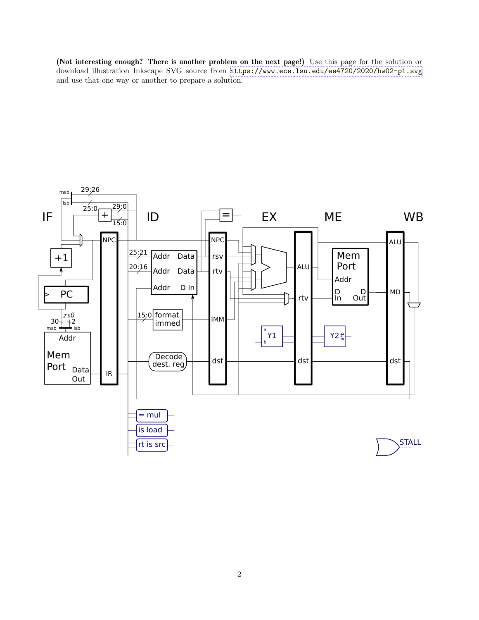(Not interesting enough? There is another problem on the next page!) Use this page for the solution or download illustration Inkscape SVG source from <https://www.ece.lsu.edu/ee4720/2020/hw02-p1.svg> and use that one way or another to prepare a solution.